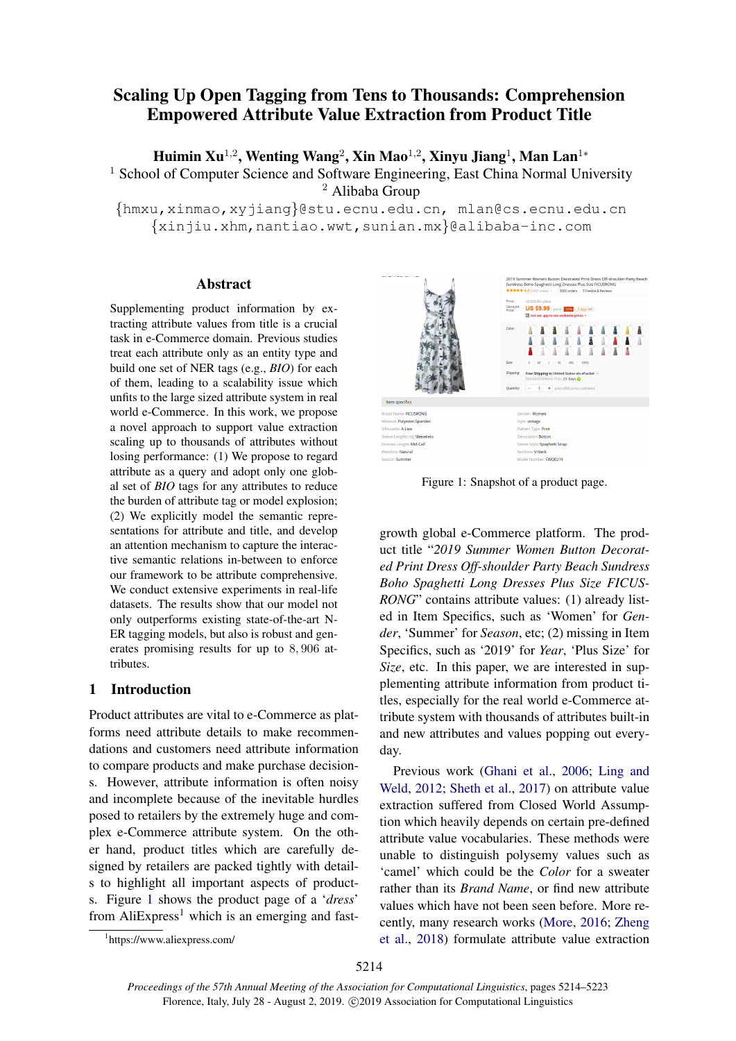# Scaling Up Open Tagging from Tens to Thousands: Comprehension Empowered Attribute Value Extraction from Product Title

Huimin Xu $^{1,2}$ , Wenting Wang $^2$ , Xin Mao $^{1,2}$ , Xinyu Jiang $^1$ , Man Lan $^{1*}$  $1$  School of Computer Science and Software Engineering, East China Normal University <sup>2</sup> Alibaba Group

{hmxu,xinmao,xyjiang}@stu.ecnu.edu.cn, mlan@cs.ecnu.edu.cn {xinjiu.xhm,nantiao.wwt,sunian.mx}@alibaba-inc.com

### Abstract

Supplementing product information by extracting attribute values from title is a crucial task in e-Commerce domain. Previous studies treat each attribute only as an entity type and build one set of NER tags (e.g., *BIO*) for each of them, leading to a scalability issue which unfits to the large sized attribute system in real world e-Commerce. In this work, we propose a novel approach to support value extraction scaling up to thousands of attributes without losing performance: (1) We propose to regard attribute as a query and adopt only one global set of *BIO* tags for any attributes to reduce the burden of attribute tag or model explosion; (2) We explicitly model the semantic representations for attribute and title, and develop an attention mechanism to capture the interactive semantic relations in-between to enforce our framework to be attribute comprehensive. We conduct extensive experiments in real-life datasets. The results show that our model not only outperforms existing state-of-the-art N-ER tagging models, but also is robust and generates promising results for up to 8, 906 attributes.

### <span id="page-0-2"></span>1 Introduction

Product attributes are vital to e-Commerce as platforms need attribute details to make recommendations and customers need attribute information to compare products and make purchase decisions. However, attribute information is often noisy and incomplete because of the inevitable hurdles posed to retailers by the extremely huge and complex e-Commerce attribute system. On the other hand, product titles which are carefully designed by retailers are packed tightly with details to highlight all important aspects of products. Figure [1](#page-0-0) shows the product page of a '*dress*' from  $\text{AliExpress}^1$  $\text{AliExpress}^1$  which is an emerging and fast-

<span id="page-0-0"></span>

Figure 1: Snapshot of a product page.

growth global e-Commerce platform. The product title "*2019 Summer Women Button Decorated Print Dress Off-shoulder Party Beach Sundress Boho Spaghetti Long Dresses Plus Size FICUS-RONG*" contains attribute values: (1) already listed in Item Specifics, such as 'Women' for *Gender*, 'Summer' for *Season*, etc; (2) missing in Item Specifics, such as '2019' for *Year*, 'Plus Size' for *Size*, etc. In this paper, we are interested in supplementing attribute information from product titles, especially for the real world e-Commerce attribute system with thousands of attributes built-in and new attributes and values popping out everyday.

Previous work [\(Ghani et al.,](#page-8-0) [2006;](#page-8-0) [Ling and](#page-9-0) [Weld,](#page-9-0) [2012;](#page-9-0) [Sheth et al.,](#page-9-1) [2017\)](#page-9-1) on attribute value extraction suffered from Closed World Assumption which heavily depends on certain pre-defined attribute value vocabularies. These methods were unable to distinguish polysemy values such as 'camel' which could be the *Color* for a sweater rather than its *Brand Name*, or find new attribute values which have not been seen before. More recently, many research works [\(More,](#page-9-2) [2016;](#page-9-2) [Zheng](#page-9-3) [et al.,](#page-9-3) [2018\)](#page-9-3) formulate attribute value extraction

<span id="page-0-1"></span><sup>1</sup> https://www.aliexpress.com/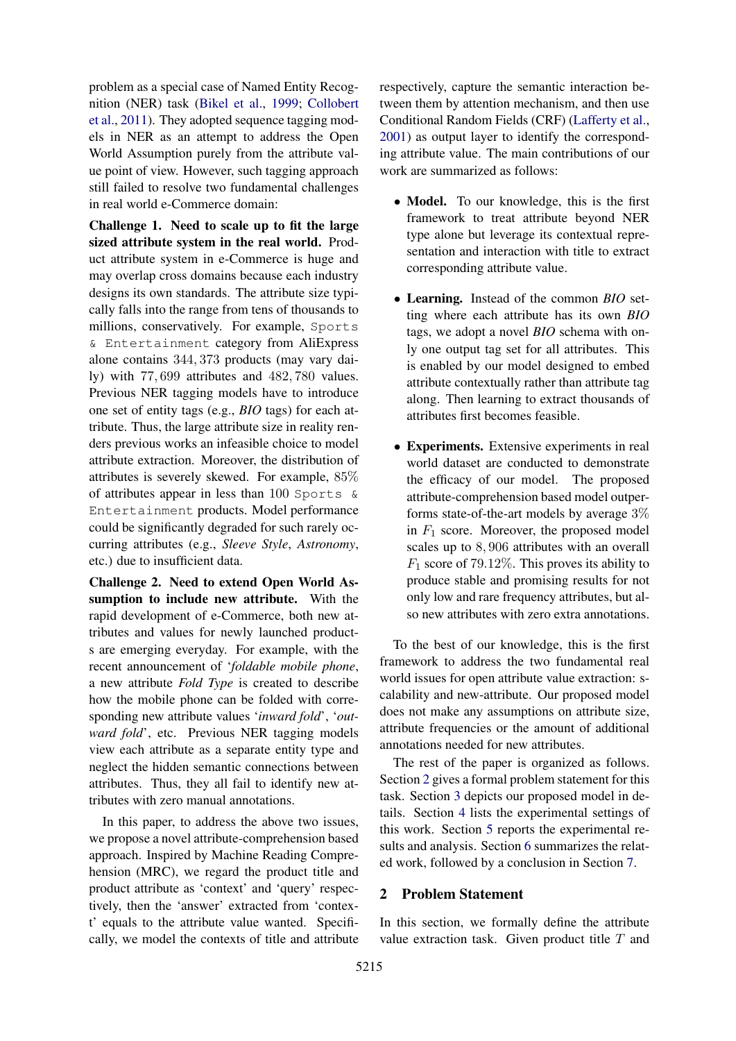problem as a special case of Named Entity Recognition (NER) task [\(Bikel et al.,](#page-8-1) [1999;](#page-8-1) [Collobert](#page-8-2) [et al.,](#page-8-2) [2011\)](#page-8-2). They adopted sequence tagging models in NER as an attempt to address the Open World Assumption purely from the attribute value point of view. However, such tagging approach still failed to resolve two fundamental challenges in real world e-Commerce domain:

Challenge 1. Need to scale up to fit the large sized attribute system in the real world. Product attribute system in e-Commerce is huge and may overlap cross domains because each industry designs its own standards. The attribute size typically falls into the range from tens of thousands to millions, conservatively. For example, Sports & Entertainment category from AliExpress alone contains 344, 373 products (may vary daily) with 77, 699 attributes and 482, 780 values. Previous NER tagging models have to introduce one set of entity tags (e.g., *BIO* tags) for each attribute. Thus, the large attribute size in reality renders previous works an infeasible choice to model attribute extraction. Moreover, the distribution of attributes is severely skewed. For example, 85% of attributes appear in less than 100 Sports  $\&$ Entertainment products. Model performance could be significantly degraded for such rarely occurring attributes (e.g., *Sleeve Style*, *Astronomy*, etc.) due to insufficient data.

Challenge 2. Need to extend Open World Assumption to include new attribute. With the rapid development of e-Commerce, both new attributes and values for newly launched products are emerging everyday. For example, with the recent announcement of '*foldable mobile phone*, a new attribute *Fold Type* is created to describe how the mobile phone can be folded with corresponding new attribute values '*inward fold*', '*outward fold*', etc. Previous NER tagging models view each attribute as a separate entity type and neglect the hidden semantic connections between attributes. Thus, they all fail to identify new attributes with zero manual annotations.

In this paper, to address the above two issues, we propose a novel attribute-comprehension based approach. Inspired by Machine Reading Comprehension (MRC), we regard the product title and product attribute as 'context' and 'query' respectively, then the 'answer' extracted from 'context' equals to the attribute value wanted. Specifically, we model the contexts of title and attribute respectively, capture the semantic interaction between them by attention mechanism, and then use Conditional Random Fields (CRF) [\(Lafferty et al.,](#page-9-4) [2001\)](#page-9-4) as output layer to identify the corresponding attribute value. The main contributions of our work are summarized as follows:

- Model. To our knowledge, this is the first framework to treat attribute beyond NER type alone but leverage its contextual representation and interaction with title to extract corresponding attribute value.
- Learning. Instead of the common *BIO* setting where each attribute has its own *BIO* tags, we adopt a novel *BIO* schema with only one output tag set for all attributes. This is enabled by our model designed to embed attribute contextually rather than attribute tag along. Then learning to extract thousands of attributes first becomes feasible.
- Experiments. Extensive experiments in real world dataset are conducted to demonstrate the efficacy of our model. The proposed attribute-comprehension based model outperforms state-of-the-art models by average 3% in  $F_1$  score. Moreover, the proposed model scales up to 8, 906 attributes with an overall  $F_1$  score of 79.12%. This proves its ability to produce stable and promising results for not only low and rare frequency attributes, but also new attributes with zero extra annotations.

To the best of our knowledge, this is the first framework to address the two fundamental real world issues for open attribute value extraction: scalability and new-attribute. Our proposed model does not make any assumptions on attribute size, attribute frequencies or the amount of additional annotations needed for new attributes.

The rest of the paper is organized as follows. Section [2](#page-1-0) gives a formal problem statement for this task. Section [3](#page-2-0) depicts our proposed model in details. Section [4](#page-4-0) lists the experimental settings of this work. Section [5](#page-5-0) reports the experimental results and analysis. Section [6](#page-7-0) summarizes the related work, followed by a conclusion in Section [7.](#page-8-3)

### <span id="page-1-0"></span>2 Problem Statement

In this section, we formally define the attribute value extraction task. Given product title  $T$  and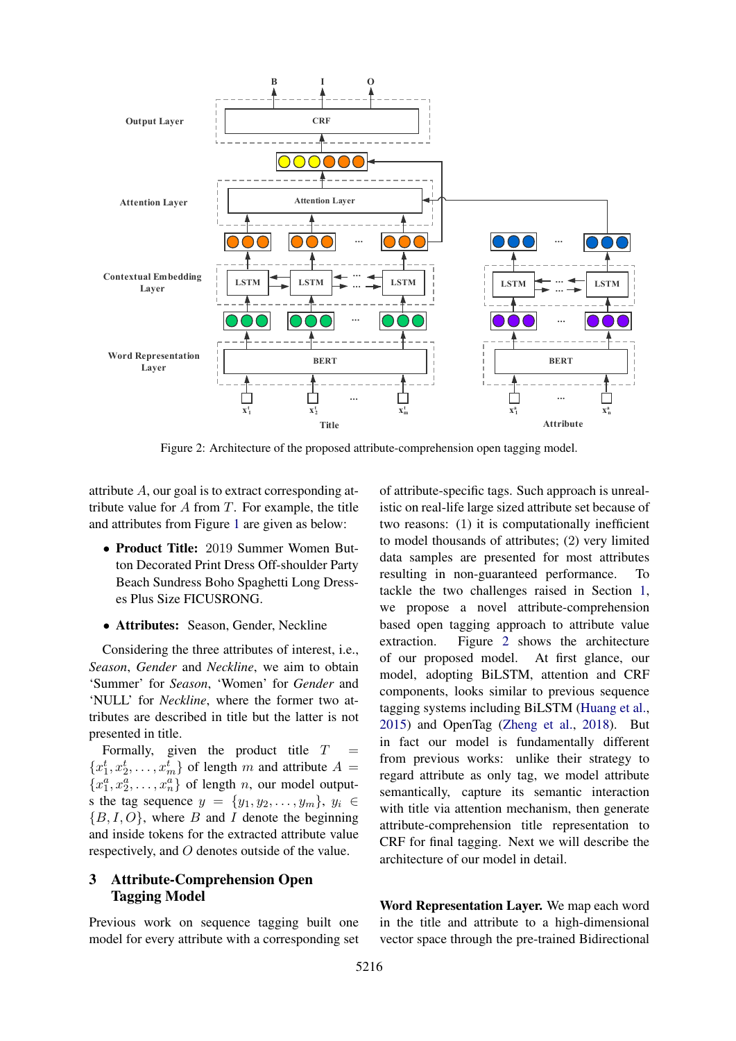<span id="page-2-1"></span>

Figure 2: Architecture of the proposed attribute-comprehension open tagging model.

attribute A, our goal is to extract corresponding attribute value for  $A$  from  $T$ . For example, the title and attributes from Figure [1](#page-0-0) are given as below:

- Product Title: 2019 Summer Women Button Decorated Print Dress Off-shoulder Party Beach Sundress Boho Spaghetti Long Dresses Plus Size FICUSRONG.
- Attributes: Season, Gender, Neckline

Considering the three attributes of interest, i.e., *Season*, *Gender* and *Neckline*, we aim to obtain 'Summer' for *Season*, 'Women' for *Gender* and 'NULL' for *Neckline*, where the former two attributes are described in title but the latter is not presented in title.

Formally, given the product title  $T$  ${x_1^t, x_2^t, \ldots, x_m^t}$  of length m and attribute  $A =$  ${x_1^a, x_2^a, \ldots, x_n^a}$  of length *n*, our model outputs the tag sequence  $y = \{y_1, y_2, \ldots, y_m\}, y_i \in$  ${B, I, O}$ , where B and I denote the beginning and inside tokens for the extracted attribute value respectively, and O denotes outside of the value.

# <span id="page-2-0"></span>3 Attribute-Comprehension Open Tagging Model

Previous work on sequence tagging built one model for every attribute with a corresponding set

of attribute-specific tags. Such approach is unrealistic on real-life large sized attribute set because of two reasons: (1) it is computationally inefficient to model thousands of attributes; (2) very limited data samples are presented for most attributes resulting in non-guaranteed performance. To tackle the two challenges raised in Section [1,](#page-0-2) we propose a novel attribute-comprehension based open tagging approach to attribute value extraction. Figure [2](#page-2-1) shows the architecture of our proposed model. At first glance, our model, adopting BiLSTM, attention and CRF components, looks similar to previous sequence tagging systems including BiLSTM [\(Huang et al.,](#page-8-4) [2015\)](#page-8-4) and OpenTag [\(Zheng et al.,](#page-9-3) [2018\)](#page-9-3). But in fact our model is fundamentally different from previous works: unlike their strategy to regard attribute as only tag, we model attribute semantically, capture its semantic interaction with title via attention mechanism, then generate attribute-comprehension title representation to CRF for final tagging. Next we will describe the architecture of our model in detail.

Word Representation Layer. We map each word in the title and attribute to a high-dimensional vector space through the pre-trained Bidirectional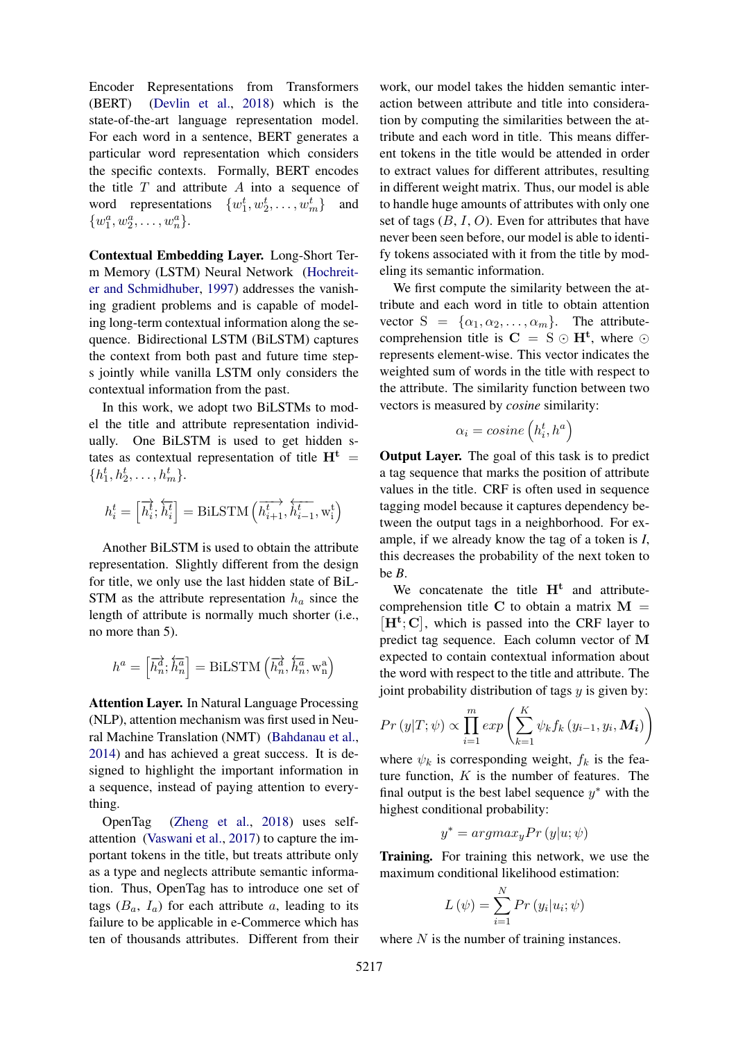Encoder Representations from Transformers (BERT) [\(Devlin et al.,](#page-8-5) [2018\)](#page-8-5) which is the state-of-the-art language representation model. For each word in a sentence, BERT generates a particular word representation which considers the specific contexts. Formally, BERT encodes the title  $T$  and attribute  $A$  into a sequence of word representations  $\{w_1^t, w_2^t, \dots, w_m^t\}$  and  $\{w_1^a, w_2^a, \ldots, w_n^a\}.$ 

Contextual Embedding Layer. Long-Short Term Memory (LSTM) Neural Network [\(Hochreit](#page-8-6)[er and Schmidhuber,](#page-8-6) [1997\)](#page-8-6) addresses the vanishing gradient problems and is capable of modeling long-term contextual information along the sequence. Bidirectional LSTM (BiLSTM) captures the context from both past and future time steps jointly while vanilla LSTM only considers the contextual information from the past.

In this work, we adopt two BiLSTMs to model the title and attribute representation individually. One BiLSTM is used to get hidden states as contextual representation of title  $H<sup>t</sup>$  =  $\{h_1^t, h_2^t, \ldots, h_m^t\}.$ 

$$
h_i^t = \left[\overrightarrow{h_i^t}; \overleftarrow{h_i^t}\right] = \text{BiLSTM}\left(\overrightarrow{h_{i+1}^t}, \overleftarrow{h_{i-1}^t}, \mathbf{w_i^t}\right)
$$

Another BiLSTM is used to obtain the attribute representation. Slightly different from the design for title, we only use the last hidden state of BiL-STM as the attribute representation  $h_a$  since the length of attribute is normally much shorter (i.e., no more than 5).

$$
h^a = \left[\overrightarrow{h_n^a}; \overleftarrow{h_n^a}\right] = \text{BiLSTM}\left(\overrightarrow{h_n^a}, \overleftarrow{h_n^a}, \mathbf{w_n^a}\right)
$$

Attention Layer. In Natural Language Processing (NLP), attention mechanism was first used in Neural Machine Translation (NMT) [\(Bahdanau et al.,](#page-8-7) [2014\)](#page-8-7) and has achieved a great success. It is designed to highlight the important information in a sequence, instead of paying attention to everything.

OpenTag [\(Zheng et al.,](#page-9-3) [2018\)](#page-9-3) uses selfattention [\(Vaswani et al.,](#page-9-5) [2017\)](#page-9-5) to capture the important tokens in the title, but treats attribute only as a type and neglects attribute semantic information. Thus, OpenTag has to introduce one set of tags  $(B_a, I_a)$  for each attribute a, leading to its failure to be applicable in e-Commerce which has ten of thousands attributes. Different from their

work, our model takes the hidden semantic interaction between attribute and title into consideration by computing the similarities between the attribute and each word in title. This means different tokens in the title would be attended in order to extract values for different attributes, resulting in different weight matrix. Thus, our model is able to handle huge amounts of attributes with only one set of tags  $(B, I, O)$ . Even for attributes that have never been seen before, our model is able to identify tokens associated with it from the title by modeling its semantic information.

We first compute the similarity between the attribute and each word in title to obtain attention vector  $S = {\alpha_1, \alpha_2, \ldots, \alpha_m}$ . The attributecomprehension title is  $C = S \odot H^{t}$ , where  $\odot$ represents element-wise. This vector indicates the weighted sum of words in the title with respect to the attribute. The similarity function between two vectors is measured by *cosine* similarity:

$$
\alpha_i = cosine\left(h_i^t, h^a\right)
$$

Output Layer. The goal of this task is to predict a tag sequence that marks the position of attribute values in the title. CRF is often used in sequence tagging model because it captures dependency between the output tags in a neighborhood. For example, if we already know the tag of a token is *I*, this decreases the probability of the next token to be *B*.

We concatenate the title  $H<sup>t</sup>$  and attributecomprehension title C to obtain a matrix  $M =$  $[H^t; C]$ , which is passed into the CRF layer to predict tag sequence. Each column vector of M expected to contain contextual information about the word with respect to the title and attribute. The joint probability distribution of tags  $y$  is given by:

$$
Pr(y|T; \psi) \propto \prod_{i=1}^{m} exp\left(\sum_{k=1}^{K} \psi_{k} f_{k}(y_{i-1}, y_{i}, \mathbf{M}_{i})\right)
$$

where  $\psi_k$  is corresponding weight,  $f_k$  is the feature function,  $K$  is the number of features. The final output is the best label sequence  $y^*$  with the highest conditional probability:

$$
y^* = argmax_y Pr(y|u; \psi)
$$

Training. For training this network, we use the maximum conditional likelihood estimation:

$$
L(\psi) = \sum_{i=1}^{N} Pr(y_i|u_i; \psi)
$$

where  $N$  is the number of training instances.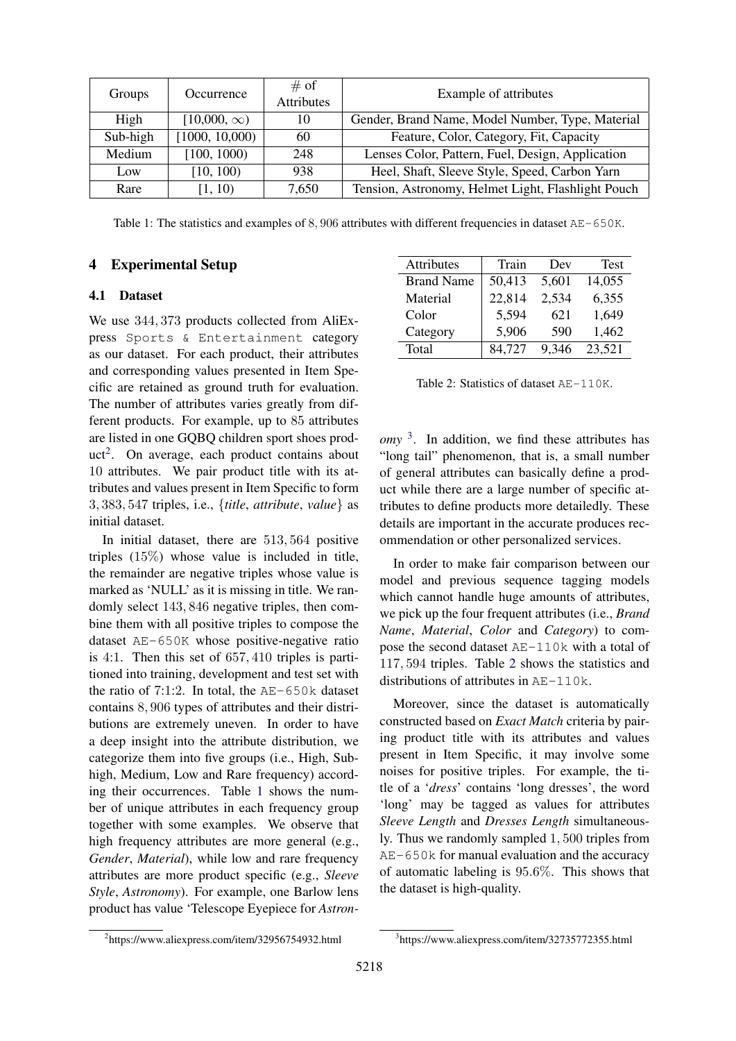<span id="page-4-2"></span>

| Groups   | Occurrence        | # of<br>Attributes | Example of attributes                              |
|----------|-------------------|--------------------|----------------------------------------------------|
| High     | $[10,000,\infty)$ | 10                 | Gender, Brand Name, Model Number, Type, Material   |
| Sub-high | [1000, 10,000]    | 60                 | Feature, Color, Category, Fit, Capacity            |
| Medium   | [100, 1000]       | 248                | Lenses Color, Pattern, Fuel, Design, Application   |
| Low      | [10, 100)         | 938                | Heel, Shaft, Sleeve Style, Speed, Carbon Yarn      |
| Rare     | [1, 10)           | 7,650              | Tension, Astronomy, Helmet Light, Flashlight Pouch |

Table 1: The statistics and examples of 8,906 attributes with different frequencies in dataset  $AE-650K$ .

# <span id="page-4-0"></span>4 Experimental Setup

### 4.1 Dataset

We use 344, 373 products collected from AliExpress Sports & Entertainment category as our dataset. For each product, their attributes and corresponding values presented in Item Specific are retained as ground truth for evaluation. The number of attributes varies greatly from different products. For example, up to 85 attributes are listed in one GQBQ children sport shoes prod-uct<sup>[2](#page-4-1)</sup>. On average, each product contains about 10 attributes. We pair product title with its attributes and values present in Item Specific to form 3, 383, 547 triples, i.e., {*title*, *attribute*, *value*} as initial dataset.

In initial dataset, there are 513, 564 positive triples (15%) whose value is included in title, the remainder are negative triples whose value is marked as 'NULL' as it is missing in title. We randomly select 143, 846 negative triples, then combine them with all positive triples to compose the dataset AE-650K whose positive-negative ratio is 4:1. Then this set of 657, 410 triples is partitioned into training, development and test set with the ratio of 7:1:2. In total, the AE-650k dataset contains 8, 906 types of attributes and their distributions are extremely uneven. In order to have a deep insight into the attribute distribution, we categorize them into five groups (i.e., High, Subhigh, Medium, Low and Rare frequency) according their occurrences. Table [1](#page-4-2) shows the number of unique attributes in each frequency group together with some examples. We observe that high frequency attributes are more general (e.g., *Gender*, *Material*), while low and rare frequency attributes are more product specific (e.g., *Sleeve Style*, *Astronomy*). For example, one Barlow lens product has value 'Telescope Eyepiece for *Astron-*

<span id="page-4-4"></span>

| <b>Attributes</b> | Train  | Dev   | <b>Test</b> |
|-------------------|--------|-------|-------------|
| <b>Brand Name</b> | 50,413 | 5,601 | 14,055      |
| Material          | 22,814 | 2,534 | 6,355       |
| Color             | 5,594  | 621   | 1,649       |
| Category          | 5,906  | 590   | 1,462       |
| Total             | 84,727 | 9,346 | 23,521      |
|                   |        |       |             |

Table 2: Statistics of dataset AE-110K.

*omy* [3](#page-4-3) . In addition, we find these attributes has "long tail" phenomenon, that is, a small number of general attributes can basically define a product while there are a large number of specific attributes to define products more detailedly. These details are important in the accurate produces recommendation or other personalized services.

In order to make fair comparison between our model and previous sequence tagging models which cannot handle huge amounts of attributes, we pick up the four frequent attributes (i.e., *Brand Name*, *Material*, *Color* and *Category*) to compose the second dataset AE-110k with a total of 117, 594 triples. Table [2](#page-4-4) shows the statistics and distributions of attributes in AE-110k.

Moreover, since the dataset is automatically constructed based on *Exact Match* criteria by pairing product title with its attributes and values present in Item Specific, it may involve some noises for positive triples. For example, the title of a '*dress*' contains 'long dresses', the word 'long' may be tagged as values for attributes *Sleeve Length* and *Dresses Length* simultaneously. Thus we randomly sampled 1, 500 triples from AE-650k for manual evaluation and the accuracy of automatic labeling is 95.6%. This shows that the dataset is high-quality.

<span id="page-4-1"></span><sup>2</sup> https://www.aliexpress.com/item/32956754932.html

<span id="page-4-3"></span><sup>3</sup> https://www.aliexpress.com/item/32735772355.html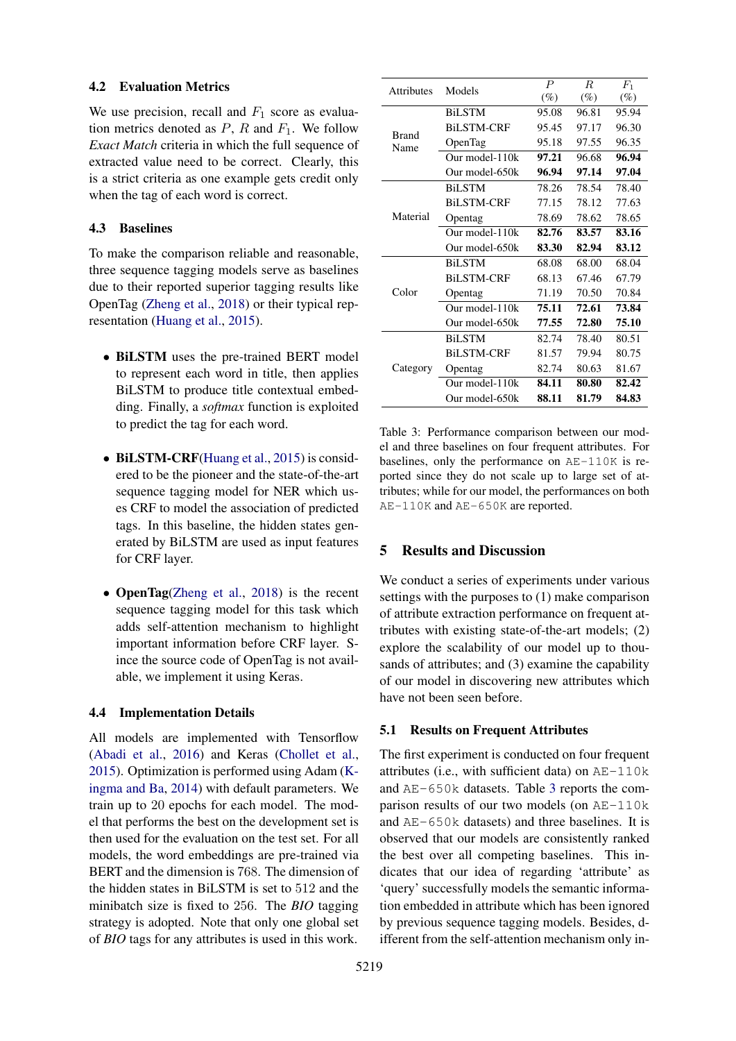#### 4.2 Evaluation Metrics

We use precision, recall and  $F_1$  score as evaluation metrics denoted as  $P$ ,  $R$  and  $F_1$ . We follow *Exact Match* criteria in which the full sequence of extracted value need to be correct. Clearly, this is a strict criteria as one example gets credit only when the tag of each word is correct.

#### 4.3 Baselines

To make the comparison reliable and reasonable, three sequence tagging models serve as baselines due to their reported superior tagging results like OpenTag [\(Zheng et al.,](#page-9-3) [2018\)](#page-9-3) or their typical representation [\(Huang et al.,](#page-8-4) [2015\)](#page-8-4).

- BiLSTM uses the pre-trained BERT model to represent each word in title, then applies BiLSTM to produce title contextual embedding. Finally, a *softmax* function is exploited to predict the tag for each word.
- BILSTM-CRF[\(Huang et al.,](#page-8-4) [2015\)](#page-8-4) is considered to be the pioneer and the state-of-the-art sequence tagging model for NER which uses CRF to model the association of predicted tags. In this baseline, the hidden states generated by BiLSTM are used as input features for CRF layer.
- **OpenTag**[\(Zheng et al.,](#page-9-3) [2018\)](#page-9-3) is the recent sequence tagging model for this task which adds self-attention mechanism to highlight important information before CRF layer. Since the source code of OpenTag is not available, we implement it using Keras.

#### 4.4 Implementation Details

All models are implemented with Tensorflow [\(Abadi et al.,](#page-8-8) [2016\)](#page-8-8) and Keras [\(Chollet et al.,](#page-8-9) [2015\)](#page-8-9). Optimization is performed using Adam [\(K](#page-9-6)[ingma and Ba,](#page-9-6) [2014\)](#page-9-6) with default parameters. We train up to 20 epochs for each model. The model that performs the best on the development set is then used for the evaluation on the test set. For all models, the word embeddings are pre-trained via BERT and the dimension is 768. The dimension of the hidden states in BiLSTM is set to 512 and the minibatch size is fixed to 256. The *BIO* tagging strategy is adopted. Note that only one global set of *BIO* tags for any attributes is used in this work.

<span id="page-5-1"></span>

| <b>Attributes</b>    | Models            | $\boldsymbol{P}$<br>$(\%)$ | R<br>$(\%)$ | $F_1$<br>$(\%)$ |
|----------------------|-------------------|----------------------------|-------------|-----------------|
|                      | <b>BiLSTM</b>     | 95.08                      | 96.81       | 95.94           |
|                      | <b>BiLSTM-CRF</b> | 95.45                      | 97.17       | 96.30           |
| <b>Brand</b><br>Name | OpenTag           | 95.18                      | 97.55       | 96.35           |
|                      | Our model-110k    | 97.21                      | 96.68       | 96.94           |
|                      | Our model-650k    | 96.94                      | 97.14       | 97.04           |
|                      | <b>BiLSTM</b>     | 78.26                      | 78.54       | 78.40           |
|                      | <b>BiLSTM-CRF</b> | 77.15                      | 78.12       | 77.63           |
| Material             | Opentag           | 78.69                      | 78.62       | 78.65           |
|                      | Our model-110k    | 82.76                      | 83.57       | 83.16           |
|                      | Our model-650k    | 83.30                      | 82.94       | 83.12           |
|                      | <b>BiLSTM</b>     | 68.08                      | 68.00       | 68.04           |
|                      | <b>BiLSTM-CRF</b> | 68.13                      | 67.46       | 67.79           |
| Color                | Opentag           | 71.19                      | 70.50       | 70.84           |
|                      | Our model-110k    | 75.11                      | 72.61       | 73.84           |
|                      | Our model-650k    | 77.55                      | 72.80       | 75.10           |
|                      | <b>BiLSTM</b>     | 82.74                      | 78.40       | 80.51           |
|                      | <b>BiLSTM-CRF</b> | 81.57                      | 79.94       | 80.75           |
| Category             | Opentag           | 82.74                      | 80.63       | 81.67           |
|                      | Our model-110k    | 84.11                      | 80.80       | 82.42           |
|                      | Our model-650k    | 88.11                      | 81.79       | 84.83           |

Table 3: Performance comparison between our model and three baselines on four frequent attributes. For baselines, only the performance on AE-110K is reported since they do not scale up to large set of attributes; while for our model, the performances on both AE-110K and AE-650K are reported.

### <span id="page-5-0"></span>5 Results and Discussion

We conduct a series of experiments under various settings with the purposes to (1) make comparison of attribute extraction performance on frequent attributes with existing state-of-the-art models; (2) explore the scalability of our model up to thousands of attributes; and (3) examine the capability of our model in discovering new attributes which have not been seen before.

#### 5.1 Results on Frequent Attributes

The first experiment is conducted on four frequent attributes (i.e., with sufficient data) on AE-110k and AE-650k datasets. Table [3](#page-5-1) reports the comparison results of our two models (on AE-110k and AE-650k datasets) and three baselines. It is observed that our models are consistently ranked the best over all competing baselines. This indicates that our idea of regarding 'attribute' as 'query' successfully models the semantic information embedded in attribute which has been ignored by previous sequence tagging models. Besides, different from the self-attention mechanism only in-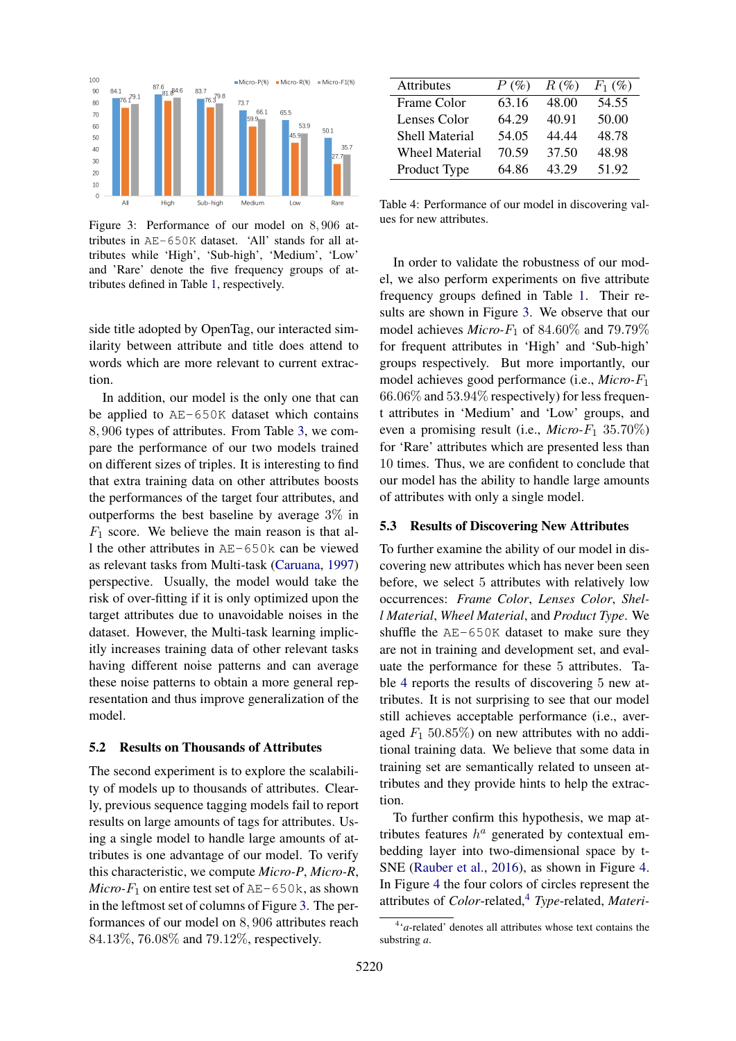<span id="page-6-0"></span>

Figure 3: Performance of our model on 8, 906 attributes in AE-650K dataset. 'All' stands for all attributes while 'High', 'Sub-high', 'Medium', 'Low' and 'Rare' denote the five frequency groups of attributes defined in Table [1,](#page-4-2) respectively.

side title adopted by OpenTag, our interacted similarity between attribute and title does attend to words which are more relevant to current extraction.

In addition, our model is the only one that can be applied to AE-650K dataset which contains 8, 906 types of attributes. From Table [3,](#page-5-1) we compare the performance of our two models trained on different sizes of triples. It is interesting to find that extra training data on other attributes boosts the performances of the target four attributes, and outperforms the best baseline by average 3% in  $F_1$  score. We believe the main reason is that all the other attributes in AE-650k can be viewed as relevant tasks from Multi-task [\(Caruana,](#page-8-10) [1997\)](#page-8-10) perspective. Usually, the model would take the risk of over-fitting if it is only optimized upon the target attributes due to unavoidable noises in the dataset. However, the Multi-task learning implicitly increases training data of other relevant tasks having different noise patterns and can average these noise patterns to obtain a more general representation and thus improve generalization of the model.

#### 5.2 Results on Thousands of Attributes

The second experiment is to explore the scalability of models up to thousands of attributes. Clearly, previous sequence tagging models fail to report results on large amounts of tags for attributes. Using a single model to handle large amounts of attributes is one advantage of our model. To verify this characteristic, we compute *Micro-P*, *Micro-R*,  $Micro-F_1$  on entire test set of  $AE-650k$ , as shown in the leftmost set of columns of Figure [3.](#page-6-0) The performances of our model on 8, 906 attributes reach 84.13%, 76.08% and 79.12%, respectively.

<span id="page-6-1"></span>

| <b>Attributes</b>     | $P$ (%) | $R(\%)$ | $F_1$ (%) |
|-----------------------|---------|---------|-----------|
| Frame Color           | 63.16   | 48.00   | 54.55     |
| Lenses Color          | 64.29   | 40.91   | 50.00     |
| <b>Shell Material</b> | 54.05   | 44.44   | 48.78     |
| <b>Wheel Material</b> | 70.59   | 37.50   | 48.98     |
| Product Type          | 64.86   | 43.29   | 51.92     |

Table 4: Performance of our model in discovering values for new attributes.

In order to validate the robustness of our model, we also perform experiments on five attribute frequency groups defined in Table [1.](#page-4-2) Their results are shown in Figure [3.](#page-6-0) We observe that our model achieves  $Micro-F_1$  of 84.60% and 79.79% for frequent attributes in 'High' and 'Sub-high' groups respectively. But more importantly, our model achieves good performance (i.e., *Micro-*F<sup>1</sup> 66.06% and 53.94% respectively) for less frequent attributes in 'Medium' and 'Low' groups, and even a promising result (i.e., *Micro-*F<sup>1</sup> 35.70%) for 'Rare' attributes which are presented less than 10 times. Thus, we are confident to conclude that our model has the ability to handle large amounts of attributes with only a single model.

#### 5.3 Results of Discovering New Attributes

To further examine the ability of our model in discovering new attributes which has never been seen before, we select 5 attributes with relatively low occurrences: *Frame Color*, *Lenses Color*, *Shell Material*, *Wheel Material*, and *Product Type*. We shuffle the AE-650K dataset to make sure they are not in training and development set, and evaluate the performance for these 5 attributes. Table [4](#page-6-1) reports the results of discovering 5 new attributes. It is not surprising to see that our model still achieves acceptable performance (i.e., averaged  $F_1$  50.85%) on new attributes with no additional training data. We believe that some data in training set are semantically related to unseen attributes and they provide hints to help the extraction.

To further confirm this hypothesis, we map attributes features  $h^a$  generated by contextual embedding layer into two-dimensional space by t-SNE [\(Rauber et al.,](#page-9-7) [2016\)](#page-9-7), as shown in Figure [4.](#page-7-1) In Figure [4](#page-7-1) the four colors of circles represent the attributes of *Color*-related,<sup>[4](#page-6-2)</sup> *Type*-related, *Materi-*

<span id="page-6-2"></span><sup>&</sup>lt;sup>4</sup>'*a*-related' denotes all attributes whose text contains the substring *a*.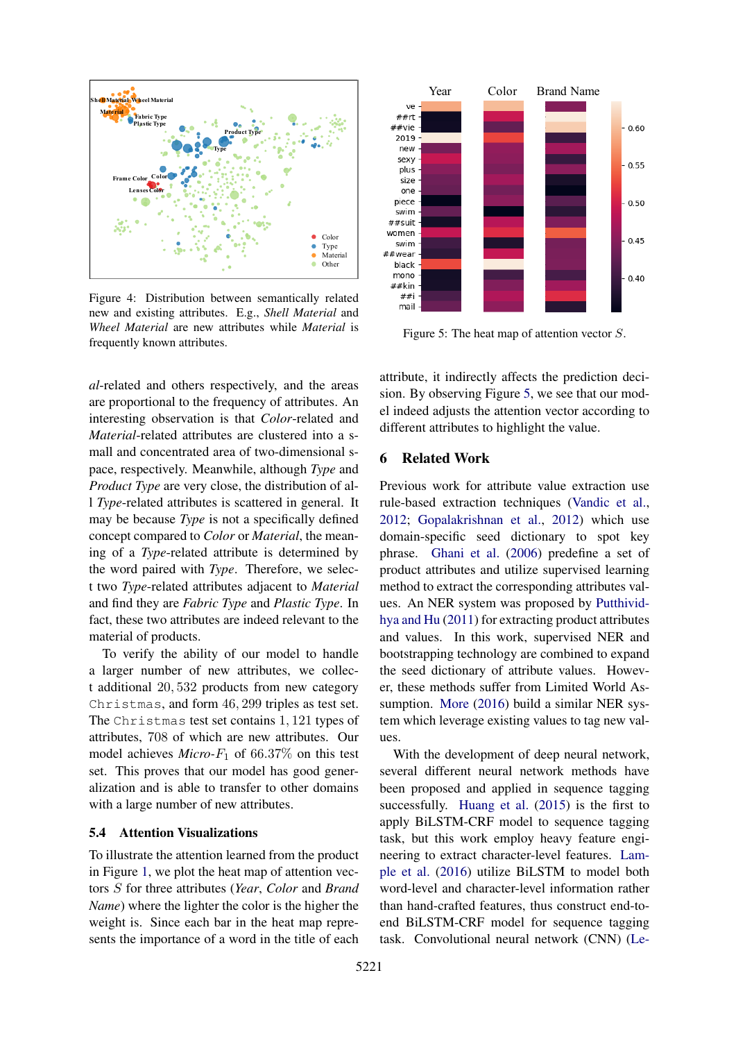<span id="page-7-1"></span>

Figure 4: Distribution between semantically related new and existing attributes. E.g., *Shell Material* and *Wheel Material* are new attributes while *Material* is frequently known attributes.

*al*-related and others respectively, and the areas are proportional to the frequency of attributes. An interesting observation is that *Color*-related and *Material*-related attributes are clustered into a small and concentrated area of two-dimensional space, respectively. Meanwhile, although *Type* and *Product Type* are very close, the distribution of all *Type*-related attributes is scattered in general. It may be because *Type* is not a specifically defined concept compared to *Color* or *Material*, the meaning of a *Type*-related attribute is determined by the word paired with *Type*. Therefore, we select two *Type*-related attributes adjacent to *Material* and find they are *Fabric Type* and *Plastic Type*. In fact, these two attributes are indeed relevant to the material of products.

To verify the ability of our model to handle a larger number of new attributes, we collect additional 20, 532 products from new category Christmas, and form 46, 299 triples as test set. The Christmas test set contains 1, 121 types of attributes, 708 of which are new attributes. Our model achieves  $Micro-F_1$  of 66.37% on this test set. This proves that our model has good generalization and is able to transfer to other domains with a large number of new attributes.

### 5.4 Attention Visualizations

To illustrate the attention learned from the product in Figure [1,](#page-0-0) we plot the heat map of attention vectors S for three attributes (*Year*, *Color* and *Brand Name*) where the lighter the color is the higher the weight is. Since each bar in the heat map represents the importance of a word in the title of each

<span id="page-7-2"></span>

Figure 5: The heat map of attention vector S.

attribute, it indirectly affects the prediction decision. By observing Figure [5,](#page-7-2) we see that our model indeed adjusts the attention vector according to different attributes to highlight the value.

# <span id="page-7-0"></span>6 Related Work

Previous work for attribute value extraction use rule-based extraction techniques [\(Vandic et al.,](#page-9-8) [2012;](#page-9-8) [Gopalakrishnan et al.,](#page-8-11) [2012\)](#page-8-11) which use domain-specific seed dictionary to spot key phrase. [Ghani et al.](#page-8-0) [\(2006\)](#page-8-0) predefine a set of product attributes and utilize supervised learning method to extract the corresponding attributes values. An NER system was proposed by [Putthivid](#page-9-9)[hya and Hu](#page-9-9) [\(2011\)](#page-9-9) for extracting product attributes and values. In this work, supervised NER and bootstrapping technology are combined to expand the seed dictionary of attribute values. However, these methods suffer from Limited World Assumption. [More](#page-9-2) [\(2016\)](#page-9-2) build a similar NER system which leverage existing values to tag new values.

With the development of deep neural network, several different neural network methods have been proposed and applied in sequence tagging successfully. [Huang et al.](#page-8-4) [\(2015\)](#page-8-4) is the first to apply BiLSTM-CRF model to sequence tagging task, but this work employ heavy feature engineering to extract character-level features. [Lam](#page-9-10)[ple et al.](#page-9-10) [\(2016\)](#page-9-10) utilize BiLSTM to model both word-level and character-level information rather than hand-crafted features, thus construct end-toend BiLSTM-CRF model for sequence tagging task. Convolutional neural network (CNN) [\(Le-](#page-9-11)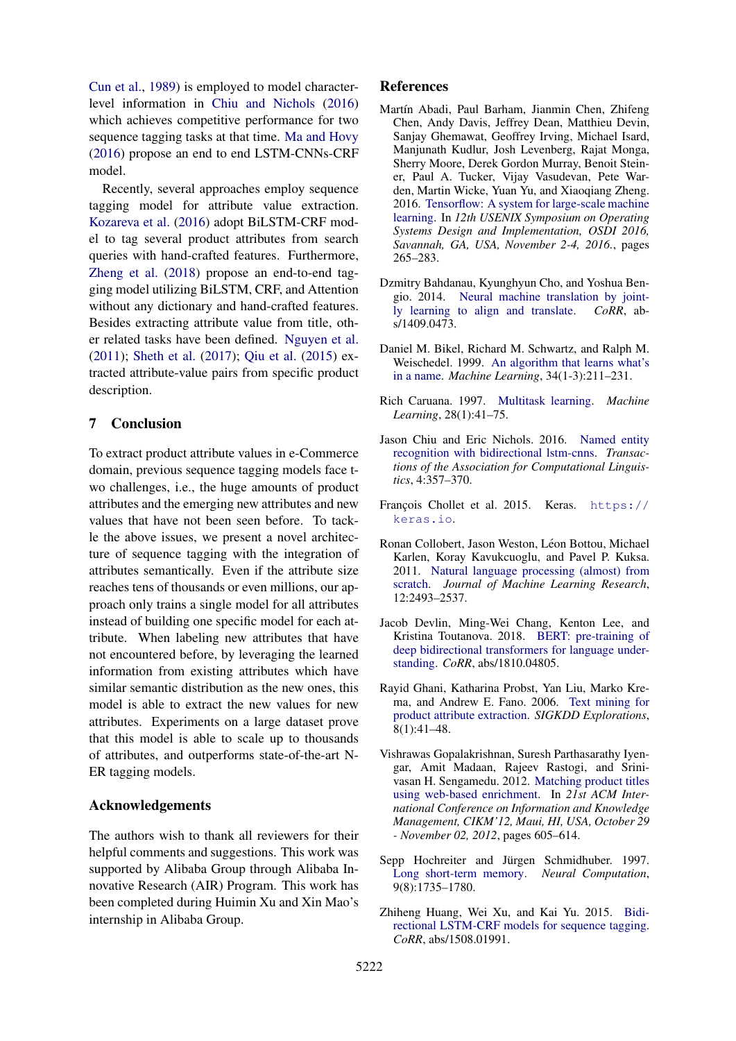[Cun et al.,](#page-9-11) [1989\)](#page-9-11) is employed to model characterlevel information in [Chiu and Nichols](#page-8-12) [\(2016\)](#page-8-12) which achieves competitive performance for two sequence tagging tasks at that time. [Ma and Hovy](#page-9-12) [\(2016\)](#page-9-12) propose an end to end LSTM-CNNs-CRF model.

Recently, several approaches employ sequence tagging model for attribute value extraction. [Kozareva et al.](#page-9-13) [\(2016\)](#page-9-13) adopt BiLSTM-CRF model to tag several product attributes from search queries with hand-crafted features. Furthermore, [Zheng et al.](#page-9-3) [\(2018\)](#page-9-3) propose an end-to-end tagging model utilizing BiLSTM, CRF, and Attention without any dictionary and hand-crafted features. Besides extracting attribute value from title, other related tasks have been defined. [Nguyen et al.](#page-9-14) [\(2011\)](#page-9-14); [Sheth et al.](#page-9-1) [\(2017\)](#page-9-1); [Qiu et al.](#page-9-15) [\(2015\)](#page-9-15) extracted attribute-value pairs from specific product description.

### <span id="page-8-3"></span>7 Conclusion

To extract product attribute values in e-Commerce domain, previous sequence tagging models face two challenges, i.e., the huge amounts of product attributes and the emerging new attributes and new values that have not been seen before. To tackle the above issues, we present a novel architecture of sequence tagging with the integration of attributes semantically. Even if the attribute size reaches tens of thousands or even millions, our approach only trains a single model for all attributes instead of building one specific model for each attribute. When labeling new attributes that have not encountered before, by leveraging the learned information from existing attributes which have similar semantic distribution as the new ones, this model is able to extract the new values for new attributes. Experiments on a large dataset prove that this model is able to scale up to thousands of attributes, and outperforms state-of-the-art N-ER tagging models.

### Acknowledgements

The authors wish to thank all reviewers for their helpful comments and suggestions. This work was supported by Alibaba Group through Alibaba Innovative Research (AIR) Program. This work has been completed during Huimin Xu and Xin Mao's internship in Alibaba Group.

### References

- <span id="page-8-8"></span>Martín Abadi, Paul Barham, Jianmin Chen, Zhifeng Chen, Andy Davis, Jeffrey Dean, Matthieu Devin, Sanjay Ghemawat, Geoffrey Irving, Michael Isard, Manjunath Kudlur, Josh Levenberg, Rajat Monga, Sherry Moore, Derek Gordon Murray, Benoit Steiner, Paul A. Tucker, Vijay Vasudevan, Pete Warden, Martin Wicke, Yuan Yu, and Xiaoqiang Zheng. 2016. [Tensorflow: A system for large-scale machine](https://www.usenix.org/conference/osdi16/technical-sessions/presentation/abadi) [learning.](https://www.usenix.org/conference/osdi16/technical-sessions/presentation/abadi) In *12th USENIX Symposium on Operating Systems Design and Implementation, OSDI 2016, Savannah, GA, USA, November 2-4, 2016.*, pages 265–283.
- <span id="page-8-7"></span>Dzmitry Bahdanau, Kyunghyun Cho, and Yoshua Bengio. 2014. [Neural machine translation by joint](http://arxiv.org/abs/1409.0473)[ly learning to align and translate.](http://arxiv.org/abs/1409.0473) *CoRR*, abs/1409.0473.
- <span id="page-8-1"></span>Daniel M. Bikel, Richard M. Schwartz, and Ralph M. Weischedel. 1999. [An algorithm that learns what's](https://doi.org/10.1023/A:1007558221122) [in a name.](https://doi.org/10.1023/A:1007558221122) *Machine Learning*, 34(1-3):211–231.
- <span id="page-8-10"></span>Rich Caruana. 1997. [Multitask learning.](https://doi.org/10.1023/A:1007379606734) *Machine Learning*, 28(1):41–75.
- <span id="page-8-12"></span>Jason Chiu and Eric Nichols. 2016. [Named entity](http://aclweb.org/anthology/Q16-1026) [recognition with bidirectional lstm-cnns.](http://aclweb.org/anthology/Q16-1026) *Transactions of the Association for Computational Linguistics*, 4:357–370.
- <span id="page-8-9"></span>François Chollet et al. 2015. Keras. [https://](https://keras.io) [keras.io](https://keras.io).
- <span id="page-8-2"></span>Ronan Collobert, Jason Weston, Léon Bottou, Michael Karlen, Koray Kavukcuoglu, and Pavel P. Kuksa. 2011. [Natural language processing \(almost\) from](http://dl.acm.org/citation.cfm?id=2078186) [scratch.](http://dl.acm.org/citation.cfm?id=2078186) *Journal of Machine Learning Research*, 12:2493–2537.
- <span id="page-8-5"></span>Jacob Devlin, Ming-Wei Chang, Kenton Lee, and Kristina Toutanova. 2018. [BERT: pre-training of](http://arxiv.org/abs/1810.04805) [deep bidirectional transformers for language under](http://arxiv.org/abs/1810.04805)[standing.](http://arxiv.org/abs/1810.04805) *CoRR*, abs/1810.04805.
- <span id="page-8-0"></span>Rayid Ghani, Katharina Probst, Yan Liu, Marko Krema, and Andrew E. Fano. 2006. [Text mining for](https://doi.org/10.1145/1147234.1147241) [product attribute extraction.](https://doi.org/10.1145/1147234.1147241) *SIGKDD Explorations*, 8(1):41–48.
- <span id="page-8-11"></span>Vishrawas Gopalakrishnan, Suresh Parthasarathy Iyengar, Amit Madaan, Rajeev Rastogi, and Srinivasan H. Sengamedu. 2012. [Matching product titles](https://doi.org/10.1145/2396761.2396839) [using web-based enrichment.](https://doi.org/10.1145/2396761.2396839) In *21st ACM International Conference on Information and Knowledge Management, CIKM'12, Maui, HI, USA, October 29 - November 02, 2012*, pages 605–614.
- <span id="page-8-6"></span>Sepp Hochreiter and Jürgen Schmidhuber. 1997. [Long short-term memory.](https://doi.org/10.1162/neco.1997.9.8.1735) *Neural Computation*, 9(8):1735–1780.
- <span id="page-8-4"></span>Zhiheng Huang, Wei Xu, and Kai Yu. 2015. [Bidi](http://arxiv.org/abs/1508.01991)[rectional LSTM-CRF models for sequence tagging.](http://arxiv.org/abs/1508.01991) *CoRR*, abs/1508.01991.